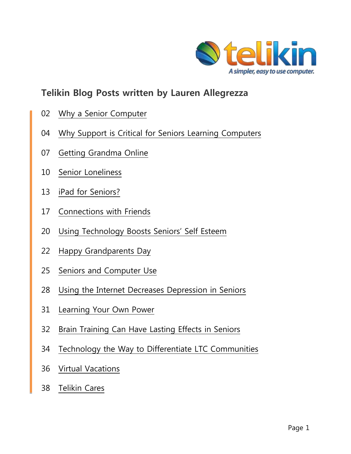

# <span id="page-0-0"></span>**Telikin Blog Posts written by Lauren Allegrezza**

- [Why a Senior Computer](#page-1-0)
- 04 Why [Support is Critical for Seniors Learning Computers](#page-3-0)
- [Getting Grandma Online](#page-6-0)
- [Senior Loneliness](#page-9-0)
- [iPad for Seniors?](#page-12-0)
- [Connections with Friends](#page-16-0)
- 20 Using Technology Boosts Seniors' Self Esteem
- [Happy Grandparents Day](#page-21-0)
- [Seniors and Computer Use](#page-24-0)
- [Using the Internet Decreases Depression in Seniors](#page-27-0)
- [Learning Your Own Power](#page-30-0)
- [Brain Training Can Have Lasting Effects in Seniors](#page-31-0)
- [Technology the Way to Differentiate LTC Communities](#page-33-0)
- [Virtual Vacations](#page-35-0)
- [Telikin Cares](#page-37-0)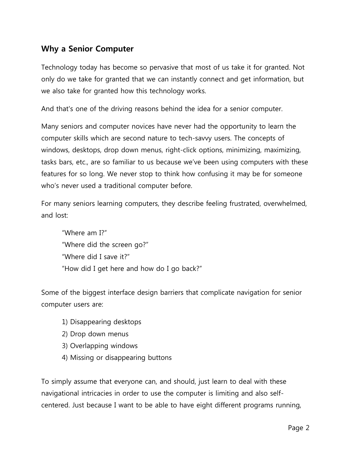# <span id="page-1-0"></span>**Why a Senior Computer**

Technology today has become so pervasive that most of us take it for granted. Not only do we take for granted that we can instantly connect and get information, but we also take for granted how this technology works.

And that's one of the driving reasons behind the idea for a senior computer.

Many seniors and computer novices have never had the opportunity to learn the computer skills which are second nature to tech-savvy users. The concepts of windows, desktops, drop down menus, right-click options, minimizing, maximizing, tasks bars, etc., are so familiar to us because we"ve been using computers with these features for so long. We never stop to think how confusing it may be for someone who's never used a traditional computer before.

For many seniors learning computers, they describe feeling frustrated, overwhelmed, and lost:

"Where am I?" "Where did the screen go?" "Where did I save it?" "How did I get here and how do I go back?"

Some of the biggest interface design barriers that complicate navigation for senior computer users are:

- 1) Disappearing desktops
- 2) Drop down menus
- 3) Overlapping windows
- 4) Missing or disappearing buttons

To simply assume that everyone can, and should, just learn to deal with these navigational intricacies in order to use the computer is limiting and also selfcentered. Just because I want to be able to have eight different programs running,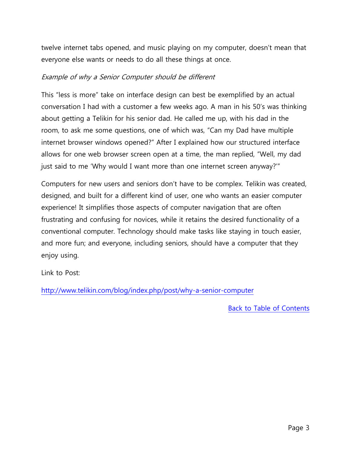twelve internet tabs opened, and music playing on my computer, doesn't mean that everyone else wants or needs to do all these things at once.

#### Example of why a Senior Computer should be different

This "less is more" take on interface design can best be exemplified by an actual conversation I had with a customer a few weeks ago. A man in his 50"s was thinking about getting a Telikin for his senior dad. He called me up, with his dad in the room, to ask me some questions, one of which was, "Can my Dad have multiple internet browser windows opened?" After I explained how our structured interface allows for one web browser screen open at a time, the man replied, "Well, my dad just said to me "Why would I want more than one internet screen anyway?""

Computers for new users and seniors don"t have to be complex. Telikin was created, designed, and built for a different kind of user, one who wants an easier computer experience! It simplifies those aspects of computer navigation that are often frustrating and confusing for novices, while it retains the desired functionality of a conventional computer. Technology should make tasks like staying in touch easier, and more fun; and everyone, including seniors, should have a computer that they enjoy using.

Link to Post:

<http://www.telikin.com/blog/index.php/post/why-a-senior-computer>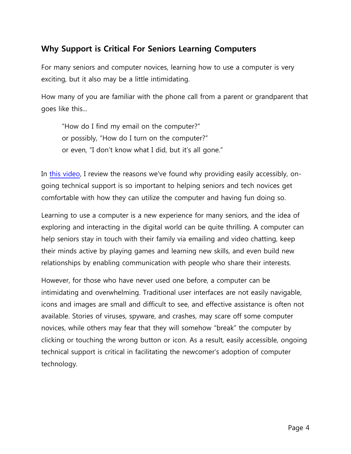# <span id="page-3-0"></span>**Why Support is Critical For Seniors Learning Computers**

For many seniors and computer novices, learning how to use a computer is very exciting, but it also may be a little intimidating.

How many of you are familiar with the phone call from a parent or grandparent that goes like this...

"How do I find my email on the computer?" or possibly, "How do I turn on the computer?" or even, "I don't know what I did, but it's all gone."

In [this video,](https://www.youtube.com/watch?v=favuW1G1d0A) I review the reasons we've found why providing easily accessibly, ongoing technical support is so important to helping seniors and tech novices get comfortable with how they can utilize the computer and having fun doing so.

Learning to use a computer is a new experience for many seniors, and the idea of exploring and interacting in the digital world can be quite thrilling. A computer can help seniors stay in touch with their family via emailing and video chatting, keep their minds active by playing games and learning new skills, and even build new relationships by enabling communication with people who share their interests.

However, for those who have never used one before, a computer can be intimidating and overwhelming. Traditional user interfaces are not easily navigable, icons and images are small and difficult to see, and effective assistance is often not available. Stories of viruses, spyware, and crashes, may scare off some computer novices, while others may fear that they will somehow "break" the computer by clicking or touching the wrong button or icon. As a result, easily accessible, ongoing technical support is critical in facilitating the newcomer"s adoption of computer technology.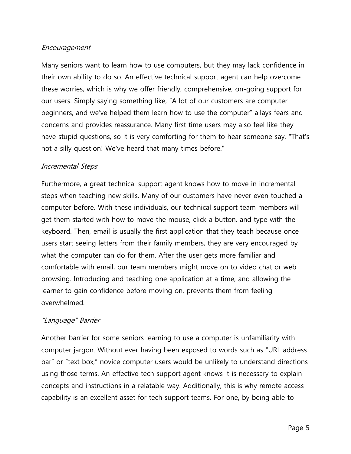# Encouragement

Many seniors want to learn how to use computers, but they may lack confidence in their own ability to do so. An effective technical support agent can help overcome these worries, which is why we offer friendly, comprehensive, on-going support for our users. Simply saying something like, "A lot of our customers are computer beginners, and we"ve helped them learn how to use the computer" allays fears and concerns and provides reassurance. Many first time users may also feel like they have stupid questions, so it is very comforting for them to hear someone say, "That's not a silly question! We've heard that many times before."

# Incremental Steps

Furthermore, a great technical support agent knows how to move in incremental steps when teaching new skills. Many of our customers have never even touched a computer before. With these individuals, our technical support team members will get them started with how to move the mouse, click a button, and type with the keyboard. Then, email is usually the first application that they teach because once users start seeing letters from their family members, they are very encouraged by what the computer can do for them. After the user gets more familiar and comfortable with email, our team members might move on to video chat or web browsing. Introducing and teaching one application at a time, and allowing the learner to gain confidence before moving on, prevents them from feeling overwhelmed.

# "Language" Barrier

Another barrier for some seniors learning to use a computer is unfamiliarity with computer jargon. Without ever having been exposed to words such as "URL address bar" or "text box," novice computer users would be unlikely to understand directions using those terms. An effective tech support agent knows it is necessary to explain concepts and instructions in a relatable way. Additionally, this is why remote access capability is an excellent asset for tech support teams. For one, by being able to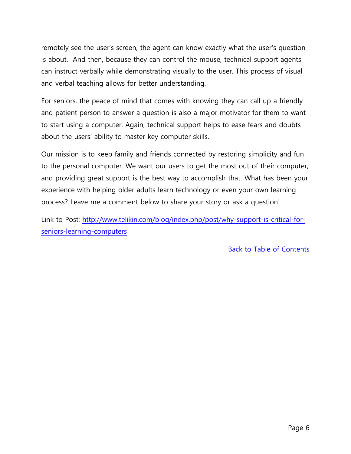remotely see the user's screen, the agent can know exactly what the user's question is about. And then, because they can control the mouse, technical support agents can instruct verbally while demonstrating visually to the user. This process of visual and verbal teaching allows for better understanding.

For seniors, the peace of mind that comes with knowing they can call up a friendly and patient person to answer a question is also a major motivator for them to want to start using a computer. Again, technical support helps to ease fears and doubts about the users' ability to master key computer skills.

Our mission is to keep family and friends connected by restoring simplicity and fun to the personal computer. We want our users to get the most out of their computer, and providing great support is the best way to accomplish that. What has been your experience with helping older adults learn technology or even your own learning process? Leave me a comment below to share your story or ask a question!

Link to Post: [http://www.telikin.com/blog/index.php/post/why-support-is-critical-for](http://www.telikin.com/blog/index.php/post/why-support-is-critical-for-seniors-learning-computers)[seniors-learning-computers](http://www.telikin.com/blog/index.php/post/why-support-is-critical-for-seniors-learning-computers)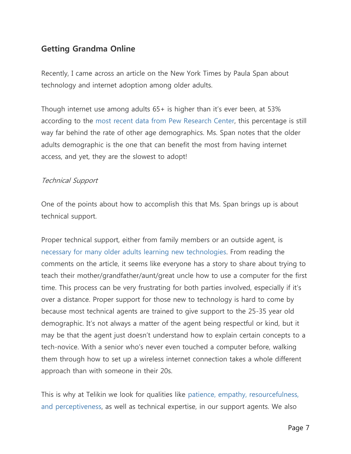# <span id="page-6-0"></span>**Getting Grandma Online**

Recently, I came across an article on the New York Times by Paula Span about technology and internet adoption among older adults.

Though internet use among adults 65+ is higher than it's ever been, at 53% according to the [most recent data from Pew Research Center,](http://www.pewinternet.org/Reports/2012/Older-adults-and-internet-use.aspx) this percentage is still way far behind the rate of other age demographics. Ms. Span notes that the older adults demographic is the one that can benefit the most from having internet access, and yet, they are the slowest to adopt!

# Technical Support

One of the points about how to accomplish this that Ms. Span brings up is about technical support.

Proper technical support, either from family members or an outside agent, is [necessary for many older adults learning new technologies.](http://www.telikin.com/blog/index.php/post/why-support-is-critical-for-seniors-learning-computers) From reading the comments on the article, it seems like everyone has a story to share about trying to teach their mother/grandfather/aunt/great uncle how to use a computer for the first time. This process can be very frustrating for both parties involved, especially if it's over a distance. Proper support for those new to technology is hard to come by because most technical agents are trained to give support to the 25-35 year old demographic. It's not always a matter of the agent being respectful or kind, but it may be that the agent just doesn't understand how to explain certain concepts to a tech-novice. With a senior who"s never even touched a computer before, walking them through how to set up a wireless internet connection takes a whole different approach than with someone in their 20s.

This is why at Telikin we look for qualities like [patience, empathy, resourcefulness,](http://www.telikin.com/blog/index.php/post/3-qualities-of-a-great-customer-support-agent)  [and perceptiveness,](http://www.telikin.com/blog/index.php/post/3-qualities-of-a-great-customer-support-agent) as well as technical expertise, in our support agents. We also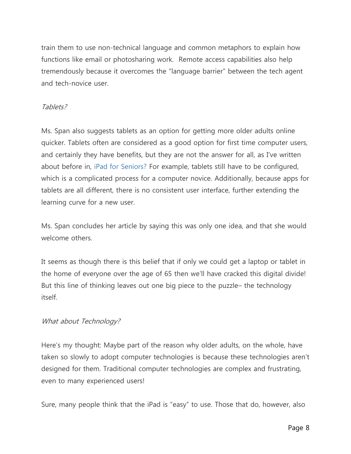train them to use non-technical language and common metaphors to explain how functions like email or photosharing work. Remote access capabilities also help tremendously because it overcomes the "language barrier" between the tech agent and tech-novice user.

# Tablets?

Ms. Span also suggests tablets as an option for getting more older adults online quicker. Tablets often are considered as a good option for first time computer users, and certainly they have benefits, but they are not the answer for all, as I've written about before in, [iPad for Seniors?](http://www.telikin.com/blog/index.php/post/ipad-for-seniors) For example, tablets still have to be configured, which is a complicated process for a computer novice. Additionally, because apps for tablets are all different, there is no consistent user interface, further extending the learning curve for a new user.

Ms. Span concludes her article by saying this was only one idea, and that she would welcome others.

It seems as though there is this belief that if only we could get a laptop or tablet in the home of everyone over the age of 65 then we"ll have cracked this digital divide! But this line of thinking leaves out one big piece to the puzzle– the technology itself.

# What about Technology?

Here"s my thought: Maybe part of the reason why older adults, on the whole, have taken so slowly to adopt computer technologies is because these technologies aren"t designed for them. Traditional computer technologies are complex and frustrating, even to many experienced users!

Sure, many people think that the iPad is "easy" to use. Those that do, however, also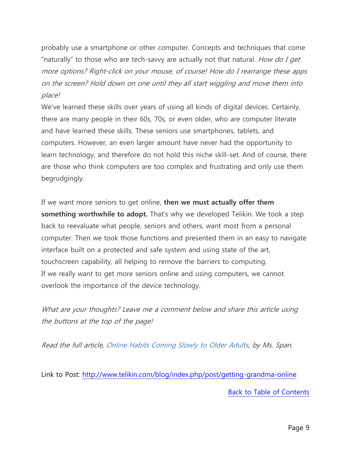probably use a smartphone or other computer. Concepts and techniques that come "naturally" to those who are tech-savvy are actually not that natural. *How do I get* more options? Right-click on your mouse, of course! How do I rearrange these apps on the screen? Hold down on one until they all start wiggling and move them into place!

We've learned these skills over years of using all kinds of digital devices. Certainly, there are many people in their 60s, 70s, or even older, who are computer literate and have learned these skills. These seniors use smartphones, tablets, and computers. However, an even larger amount have never had the opportunity to learn technology, and therefore do not hold this niche skill-set. And of course, there are those who think computers are too complex and frustrating and only use them begrudgingly.

If we want more seniors to get online, **then we must actually offer them something worthwhile to adopt.** That's why we developed Telikin. We took a step back to reevaluate what people, seniors and others, want most from a personal computer. Then we took those functions and presented them in an easy to navigate interface built on a protected and safe system and using state of the art, touchscreen capability, all helping to remove the barriers to computing. If we really want to get more seniors online and using computers, we cannot overlook the importance of the device technology.

What are your thoughts? Leave me a comment below and share this article using the buttons at the top of the page!

Read the full article, [Online Habits Coming Slowly to Older Adults,](http://newoldage.blogs.nytimes.com/2013/04/08/online-habits-coming-slowly-to-older-adults/) by Ms. Span.

Link to Post:<http://www.telikin.com/blog/index.php/post/getting-grandma-online>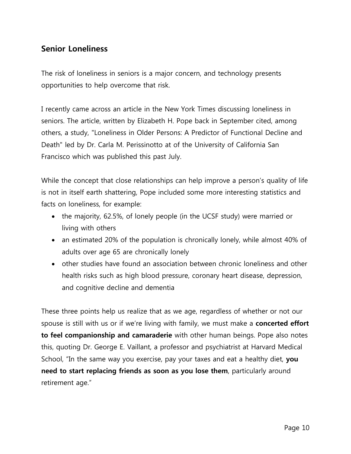# <span id="page-9-0"></span>**Senior Loneliness**

The risk of loneliness in seniors is a major concern, and technology presents opportunities to help overcome that risk.

I recently came across an article in the New York Times discussing loneliness in seniors. The article, written by Elizabeth H. Pope back in September cited, among others, a study, "Loneliness in Older Persons: A Predictor of Functional Decline and Death" led by Dr. Carla M. Perissinotto at of the University of California San Francisco which was published this past July.

While the concept that close relationships can help improve a person's quality of life is not in itself earth shattering, Pope included some more interesting statistics and facts on loneliness, for example:

- the majority, 62.5%, of lonely people (in the UCSF study) were married or living with others
- an estimated 20% of the population is chronically lonely, while almost 40% of adults over age 65 are chronically lonely
- other studies have found an association between chronic loneliness and other health risks such as high blood pressure, coronary heart disease, depression, and cognitive decline and dementia

These three points help us realize that as we age, regardless of whether or not our spouse is still with us or if we"re living with family, we must make a **concerted effort to feel companionship and camaraderie** with other human beings. Pope also notes this, quoting Dr. George E. Vaillant, a professor and psychiatrist at Harvard Medical School, "In the same way you exercise, pay your taxes and eat a healthy diet, **you need to start replacing friends as soon as you lose them**, particularly around retirement age."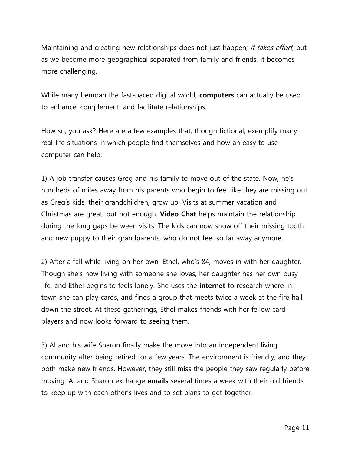Maintaining and creating new relationships does not just happen; it takes effort, but as we become more geographical separated from family and friends, it becomes more challenging.

While many bemoan the fast-paced digital world, **computers** can actually be used to enhance, complement, and facilitate relationships.

How so, you ask? Here are a few examples that, though fictional, exemplify many real-life situations in which people find themselves and how an easy to use computer can help:

1) A job transfer causes Greg and his family to move out of the state. Now, he"s hundreds of miles away from his parents who begin to feel like they are missing out as Greg's kids, their grandchildren, grow up. Visits at summer vacation and Christmas are great, but not enough. **Video Chat** helps maintain the relationship during the long gaps between visits. The kids can now show off their missing tooth and new puppy to their grandparents, who do not feel so far away anymore.

2) After a fall while living on her own, Ethel, who"s 84, moves in with her daughter. Though she"s now living with someone she loves, her daughter has her own busy life, and Ethel begins to feels lonely. She uses the **internet** to research where in town she can play cards, and finds a group that meets twice a week at the fire hall down the street. At these gatherings, Ethel makes friends with her fellow card players and now looks forward to seeing them.

3) Al and his wife Sharon finally make the move into an independent living community after being retired for a few years. The environment is friendly, and they both make new friends. However, they still miss the people they saw regularly before moving. Al and Sharon exchange **emails** several times a week with their old friends to keep up with each other"s lives and to set plans to get together.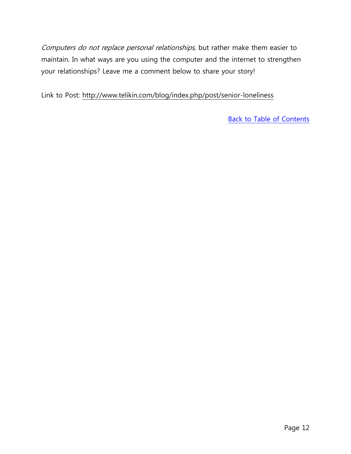Computers do not replace personal relationships, but rather make them easier to maintain. In what ways are you using the computer and the internet to strengthen your relationships? Leave me a comment below to share your story!

Link to Post: <http://www.telikin.com/blog/index.php/post/senior-loneliness>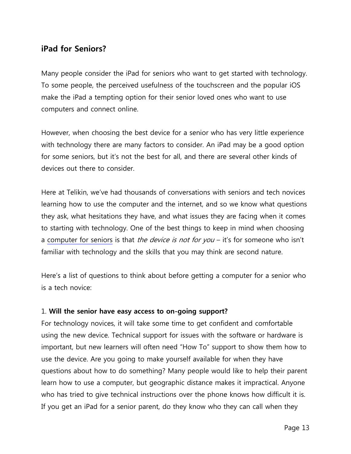# <span id="page-12-0"></span>**iPad for Seniors?**

Many people consider the iPad for seniors who want to get started with technology. To some people, the perceived usefulness of the touchscreen and the popular iOS make the iPad a tempting option for their senior loved ones who want to use computers and connect online.

However, when choosing the best device for a senior who has very little experience with technology there are many factors to consider. An iPad may be a good option for some seniors, but it's not the best for all, and there are several other kinds of devices out there to consider.

Here at Telikin, we"ve had thousands of conversations with seniors and tech novices learning how to use the computer and the internet, and so we know what questions they ask, what hesitations they have, and what issues they are facing when it comes to starting with technology. One of the best things to keep in mind when choosing a [computer for seniors](http://www.telikin.com/blog/index.php/post/why-a-senior-computer) is that *the device is not for you* – it's for someone who isn't familiar with technology and the skills that you may think are second nature.

Here's a list of questions to think about before getting a computer for a senior who is a tech novice:

# 1. **Will the senior have easy access to on-going support?**

For technology novices, it will take some time to get confident and comfortable using the new device. Technical support for issues with the software or hardware is important, but new learners will often need "How To" support to show them how to use the device. Are you going to make yourself available for when they have questions about how to do something? Many people would like to help their parent learn how to use a computer, but geographic distance makes it impractical. Anyone who has tried to give technical instructions over the phone knows how difficult it is. If you get an iPad for a senior parent, do they know who they can call when they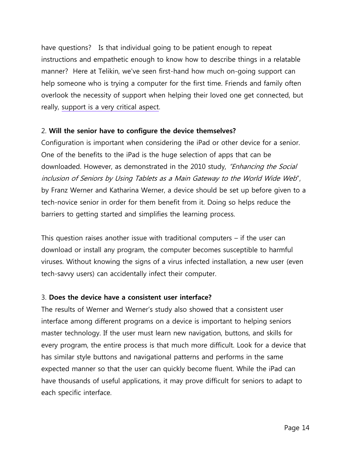have questions? Is that individual going to be patient enough to repeat instructions and empathetic enough to know how to describe things in a relatable manner? Here at Telikin, we've seen first-hand how much on-going support can help someone who is trying a computer for the first time. Friends and family often overlook the necessity of support when helping their loved one get connected, but really, [support is a very critical aspect.](http://www.telikin.com/blog/index.php/post/why-support-is-critical-for-seniors-learning-computers)

#### 2. **Will the senior have to configure the device themselves?**

Configuration is important when considering the iPad or other device for a senior. One of the benefits to the iPad is the huge selection of apps that can be downloaded. However, as demonstrated in the 2010 study, "Enhancing the Social inclusion of Seniors by Using Tablets as a Main Gateway to the World Wide Web", by Franz Werner and Katharina Werner, a device should be set up before given to a tech-novice senior in order for them benefit from it. Doing so helps reduce the barriers to getting started and simplifies the learning process.

This question raises another issue with traditional computers – if the user can download or install any program, the computer becomes susceptible to harmful viruses. Without knowing the signs of a virus infected installation, a new user (even tech-savvy users) can accidentally infect their computer.

# 3. **Does the device have a consistent user interface?**

The results of Werner and Werner"s study also showed that a consistent user interface among different programs on a device is important to helping seniors master technology. If the user must learn new navigation, buttons, and skills for every program, the entire process is that much more difficult. Look for a device that has similar style buttons and navigational patterns and performs in the same expected manner so that the user can quickly become fluent. While the iPad can have thousands of useful applications, it may prove difficult for seniors to adapt to each specific interface.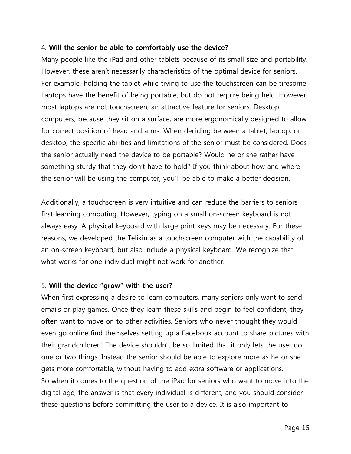# 4. **Will the senior be able to comfortably use the device?**

Many people like the iPad and other tablets because of its small size and portability. However, these aren't necessarily characteristics of the optimal device for seniors. For example, holding the tablet while trying to use the touchscreen can be tiresome. Laptops have the benefit of being portable, but do not require being held. However, most laptops are not touchscreen, an attractive feature for seniors. Desktop computers, because they sit on a surface, are more ergonomically designed to allow for correct position of head and arms. When deciding between a tablet, laptop, or desktop, the specific abilities and limitations of the senior must be considered. Does the senior actually need the device to be portable? Would he or she rather have something sturdy that they don't have to hold? If you think about how and where the senior will be using the computer, you"ll be able to make a better decision.

Additionally, a touchscreen is very intuitive and can reduce the barriers to seniors first learning computing. However, typing on a small on-screen keyboard is not always easy. A physical keyboard with large print keys may be necessary. For these reasons, we developed the Telikin as a touchscreen computer with the capability of an on-screen keyboard, but also include a physical keyboard. We recognize that what works for one individual might not work for another.

# 5. **Will the device "grow" with the user?**

When first expressing a desire to learn computers, many seniors only want to send emails or play games. Once they learn these skills and begin to feel confident, they often want to move on to other activities. Seniors who never thought they would even go online find themselves setting up a Facebook account to share pictures with their grandchildren! The device shouldn"t be so limited that it only lets the user do one or two things. Instead the senior should be able to explore more as he or she gets more comfortable, without having to add extra software or applications. So when it comes to the question of the iPad for seniors who want to move into the digital age, the answer is that every individual is different, and you should consider these questions before committing the user to a device. It is also important to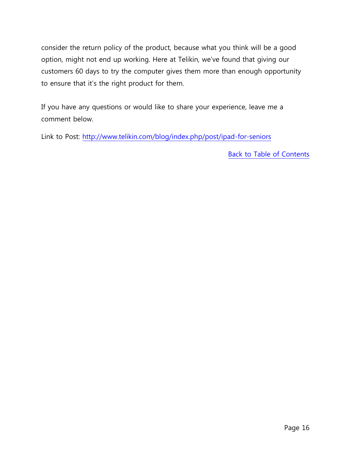consider the return policy of the product, because what you think will be a good option, might not end up working. Here at Telikin, we"ve found that giving our customers 60 days to try the computer gives them more than enough opportunity to ensure that it's the right product for them.

If you have any questions or would like to share your experience, leave me a comment below.

Link to Post:<http://www.telikin.com/blog/index.php/post/ipad-for-seniors>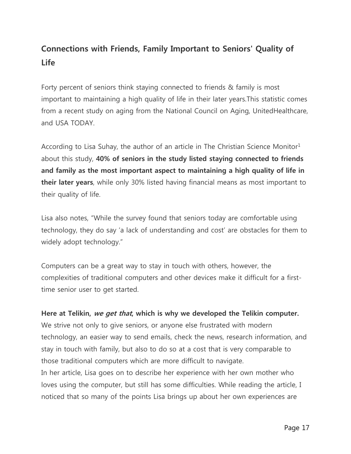# <span id="page-16-0"></span>**Connections with Friends, Family Important to Seniors' Quality of Life**

Forty percent of seniors think staying connected to friends & family is most important to maintaining a high quality of life in their later years.This statistic comes from a recent study on aging from the National Council on Aging, UnitedHealthcare, and USA TODAY.

According to Lisa Suhay, the author of an article in The Christian Science Monitor<sup>1</sup> about this study, **40% of seniors in the study listed staying connected to friends and family as the most important aspect to maintaining a high quality of life in their later years**, while only 30% listed having financial means as most important to their quality of life.

Lisa also notes, "While the survey found that seniors today are comfortable using technology, they do say "a lack of understanding and cost" are obstacles for them to widely adopt technology."

Computers can be a great way to stay in touch with others, however, the complexities of traditional computers and other devices make it difficult for a firsttime senior user to get started.

# **Here at Telikin, we get that, which is why we developed the Telikin computer.**

We strive not only to give seniors, or anyone else frustrated with modern technology, an easier way to send emails, check the news, research information, and stay in touch with family, but also to do so at a cost that is very comparable to those traditional computers which are more difficult to navigate. In her article, Lisa goes on to describe her experience with her own mother who loves using the computer, but still has some difficulties. While reading the article, I noticed that so many of the points Lisa brings up about her own experiences are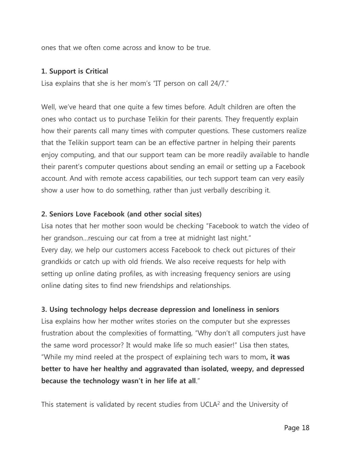ones that we often come across and know to be true.

# **1. Support is Critical**

Lisa explains that she is her mom's "IT person on call 24/7."

Well, we've heard that one quite a few times before. Adult children are often the ones who contact us to purchase Telikin for their parents. They frequently explain how their parents call many times with computer questions. These customers realize that the Telikin support team can be an effective partner in helping their parents enjoy computing, and that our support team can be more readily available to handle their parent"s computer questions about sending an email or setting up a Facebook account. And with remote access capabilities, our tech support team can very easily show a user how to do something, rather than just verbally describing it.

# **2. Seniors Love Facebook (and other social sites)**

Lisa notes that her mother soon would be checking "Facebook to watch the video of her grandson... rescuing our cat from a tree at midnight last night." Every day, we help our customers access Facebook to check out pictures of their grandkids or catch up with old friends. We also receive requests for help with setting up online dating profiles, as with increasing frequency seniors are using online dating sites to find new friendships and relationships.

# **3. Using technology helps decrease depression and loneliness in seniors**

Lisa explains how her mother writes stories on the computer but she expresses frustration about the complexities of formatting, "Why don't all computers just have the same word processor? It would make life so much easier!" Lisa then states, "While my mind reeled at the prospect of explaining tech wars to mom**, it was better to have her healthy and aggravated than isolated, weepy, and depressed because the technology wasn't in her life at all**."

This statement is validated by recent studies from UCLA<sup>2</sup> and the University of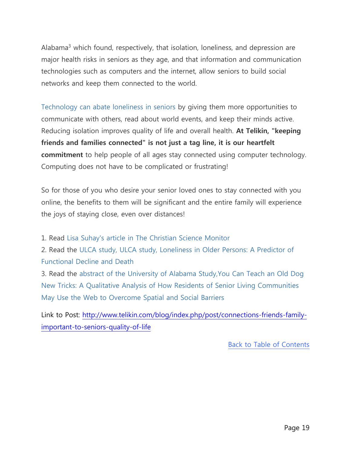Alabama3 which found, respectively, that isolation, loneliness, and depression are major health risks in seniors as they age, and that information and communication technologies such as computers and the internet, allow seniors to build social networks and keep them connected to the world.

[Technology can abate loneliness in seniors](http://www.telikin.com/blog/index.php/post/senior-loneliness) by giving them more opportunities to communicate with others, read about world events, and keep their minds active. Reducing isolation improves quality of life and overall health. **At Telikin, "keeping friends and families connected" is not just a tag line, it is our heartfelt commitment** to help people of all ages stay connected using computer technology. Computing does not have to be complicated or frustrating!

So for those of you who desire your senior loved ones to stay connected with you online, the benefits to them will be significant and the entire family will experience the joys of staying close, even over distances!

1. Read [Lisa Suhay's article in The Christian Science Monitor](http://www.csmonitor.com/The-Culture/Family/Modern-Parenthood/2013/0731/The-aging-survey-2013-Technology-is-a-big-hit-with-Grandma-and-Grandpa)

2. Read the [ULCA study, ULCA study, Loneliness in Older Persons: A Predictor of](http://archinte.jamanetwork.com/article.aspx?articleid=1188033)  Functional [Decline and Death](http://archinte.jamanetwork.com/article.aspx?articleid=1188033)

3. Read the [abstract of the University of Alabama Study,You Can Teach an Old Dog](http://jag.sagepub.com/content/early/2012/01/03/0733464811431824.abstract)  [New Tricks: A Qualitative Analysis of How Residents of Senior Living Communities](http://jag.sagepub.com/content/early/2012/01/03/0733464811431824.abstract)  [May Use the Web to Overcome Spatial and Social Barriers](http://jag.sagepub.com/content/early/2012/01/03/0733464811431824.abstract)

Link to Post: [http://www.telikin.com/blog/index.php/post/connections-friends-family](http://www.telikin.com/blog/index.php/post/connections-friends-family-important-to-seniors-quality-of-life)[important-to-seniors-quality-of-life](http://www.telikin.com/blog/index.php/post/connections-friends-family-important-to-seniors-quality-of-life)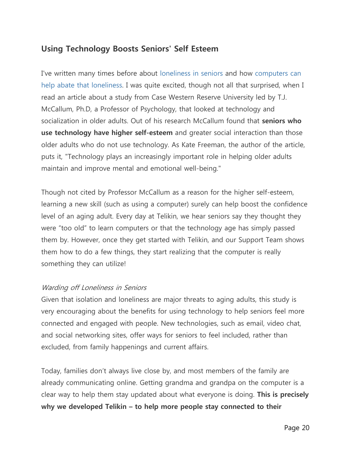# <span id="page-19-0"></span>**Using Technology Boosts Seniors' Self Esteem**

I've written many times before about [loneliness in seniors](http://www.telikin.com/blog/index.php/post/senior-loneliness) and how [computers can](http://www.telikin.com/blog/index.php/post/how-to-address-the-top-reasons-why-seniors-feel-isolated)  [help abate that loneliness.](http://www.telikin.com/blog/index.php/post/how-to-address-the-top-reasons-why-seniors-feel-isolated) I was quite excited, though not all that surprised, when I read an article about a study from Case Western Reserve University led by T.J. McCallum, Ph.D, a Professor of Psychology, that looked at technology and socialization in older adults. Out of his research McCallum found that **seniors who use technology have higher self-esteem** and greater social interaction than those older adults who do not use technology. As Kate Freeman, the author of the article, puts it, "Technology plays an increasingly important role in helping older adults maintain and improve mental and emotional well-being."

Though not cited by Professor McCallum as a reason for the higher self-esteem, learning a new skill (such as using a computer) surely can help boost the confidence level of an aging adult. Every day at Telikin, we hear seniors say they thought they were "too old" to learn computers or that the technology age has simply passed them by. However, once they get started with Telikin, and our Support Team shows them how to do a few things, they start realizing that the computer is really something they can utilize!

#### Warding off Loneliness in Seniors

Given that isolation and loneliness are major threats to aging adults, this study is very encouraging about the benefits for using technology to help seniors feel more connected and engaged with people. New technologies, such as email, video chat, and social networking sites, offer ways for seniors to feel included, rather than excluded, from family happenings and current affairs.

Today, families don"t always live close by, and most members of the family are already communicating online. Getting grandma and grandpa on the computer is a clear way to help them stay updated about what everyone is doing. **This is precisely why we developed Telikin – to help more people stay connected to their**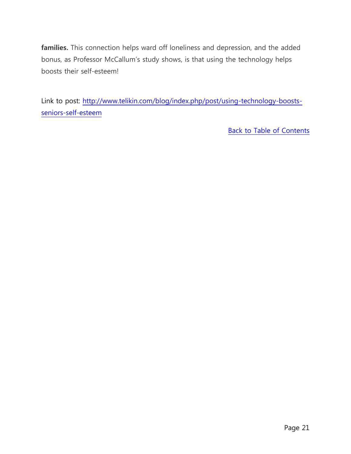**families.** This connection helps ward off loneliness and depression, and the added bonus, as Professor McCallum"s study shows, is that using the technology helps boosts their self-esteem!

Link to post: [http://www.telikin.com/blog/index.php/post/using-technology-boosts](http://www.telikin.com/blog/index.php/post/using-technology-boosts-seniors-self-esteem)[seniors-self-esteem](http://www.telikin.com/blog/index.php/post/using-technology-boosts-seniors-self-esteem)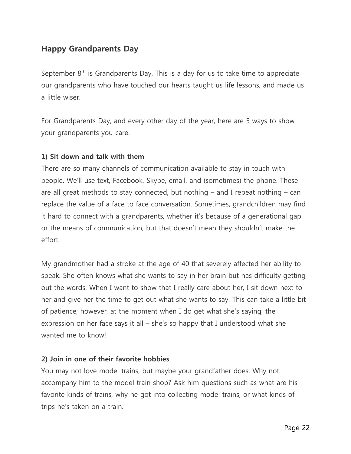# <span id="page-21-0"></span>**Happy Grandparents Day**

September  $8<sup>th</sup>$  is Grandparents Day. This is a day for us to take time to appreciate our grandparents who have touched our hearts taught us life lessons, and made us a little wiser.

For Grandparents Day, and every other day of the year, here are 5 ways to show your grandparents you care.

# **1) Sit down and talk with them**

There are so many channels of communication available to stay in touch with people. We"ll use text, Facebook, Skype, email, and (sometimes) the phone. These are all great methods to stay connected, but nothing – and I repeat nothing – can replace the value of a face to face conversation. Sometimes, grandchildren may find it hard to connect with a grandparents, whether it"s because of a generational gap or the means of communication, but that doesn"t mean they shouldn"t make the effort.

My grandmother had a stroke at the age of 40 that severely affected her ability to speak. She often knows what she wants to say in her brain but has difficulty getting out the words. When I want to show that I really care about her, I sit down next to her and give her the time to get out what she wants to say. This can take a little bit of patience, however, at the moment when I do get what she"s saying, the expression on her face says it all  $-$  she's so happy that I understood what she wanted me to know!

# **2) Join in one of their favorite hobbies**

You may not love model trains, but maybe your grandfather does. Why not accompany him to the model train shop? Ask him questions such as what are his favorite kinds of trains, why he got into collecting model trains, or what kinds of trips he"s taken on a train.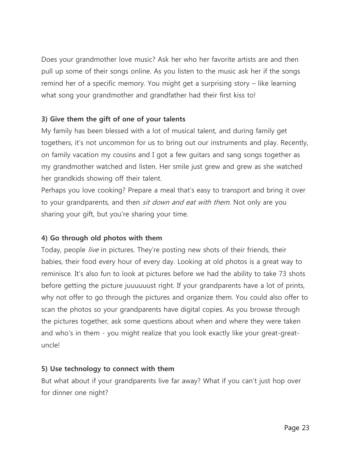Does your grandmother love music? Ask her who her favorite artists are and then pull up some of their songs online. As you listen to the music ask her if the songs remind her of a specific memory. You might get a surprising story – like learning what song your grandmother and grandfather had their first kiss to!

# **3) Give them the gift of one of your talents**

My family has been blessed with a lot of musical talent, and during family get togethers, it's not uncommon for us to bring out our instruments and play. Recently, on family vacation my cousins and I got a few guitars and sang songs together as my grandmother watched and listen. Her smile just grew and grew as she watched her grandkids showing off their talent.

Perhaps you love cooking? Prepare a meal that"s easy to transport and bring it over to your grandparents, and then *sit down and eat with them*. Not only are you sharing your gift, but you"re sharing your time.

# **4) Go through old photos with them**

Today, people *live* in pictures. They're posting new shots of their friends, their babies, their food every hour of every day. Looking at old photos is a great way to reminisce. It's also fun to look at pictures before we had the ability to take 73 shots before getting the picture juuuuuust right. If your grandparents have a lot of prints, why not offer to go through the pictures and organize them. You could also offer to scan the photos so your grandparents have digital copies. As you browse through the pictures together, ask some questions about when and where they were taken and who's in them - you might realize that you look exactly like your great-greatuncle!

# **5) Use technology to connect with them**

But what about if your grandparents live far away? What if you can't just hop over for dinner one night?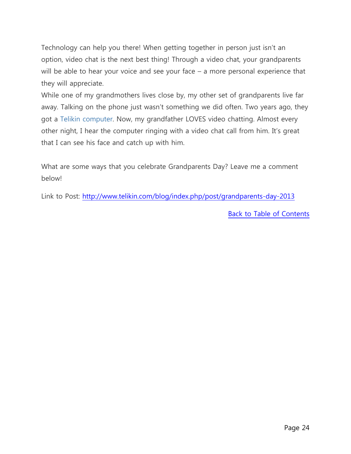Technology can help you there! When getting together in person just isn't an option, video chat is the next best thing! Through a video chat, your grandparents will be able to hear your voice and see your face – a more personal experience that they will appreciate.

While one of my grandmothers lives close by, my other set of grandparents live far away. Talking on the phone just wasn't something we did often. Two years ago, they got a [Telikin computer.](http://www.telikin.com/telikin_elite) Now, my grandfather LOVES video chatting. Almost every other night, I hear the computer ringing with a video chat call from him. It's great that I can see his face and catch up with him.

What are some ways that you celebrate Grandparents Day? Leave me a comment below!

Link to Post:<http://www.telikin.com/blog/index.php/post/grandparents-day-2013>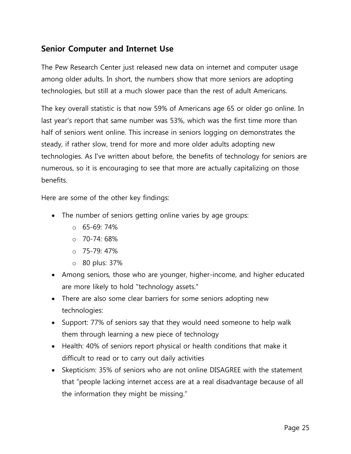# <span id="page-24-0"></span>**Senior Computer and Internet Use**

The Pew Research Center just released new data on internet and computer usage among older adults. In short, the numbers show that more seniors are adopting technologies, but still at a much slower pace than the rest of adult Americans.

The key overall statistic is that now 59% of Americans age 65 or older go online. In last year's report that same number was 53%, which was the first time more than half of seniors went online. This increase in seniors logging on demonstrates the steady, if rather slow, trend for more and more older adults adopting new technologies. As I've written about before, the benefits of technology for seniors are numerous, so it is encouraging to see that more are actually capitalizing on those benefits.

Here are some of the other key findings:

- The number of seniors getting online varies by age groups:
	- $0.65 69.74%$
	- $O$  70-74: 68%
	- $O$  75-79:47%
	- o 80 plus: 37%
- Among seniors, those who are younger, higher-income, and higher educated are more likely to hold "technology assets."
- There are also some clear barriers for some seniors adopting new technologies:
- Support: 77% of seniors say that they would need someone to help walk them through learning a new piece of technology
- Health: 40% of seniors report physical or health conditions that make it difficult to read or to carry out daily activities
- Skepticism: 35% of seniors who are not online DISAGREE with the statement that "people lacking internet access are at a real disadvantage because of all the information they might be missing."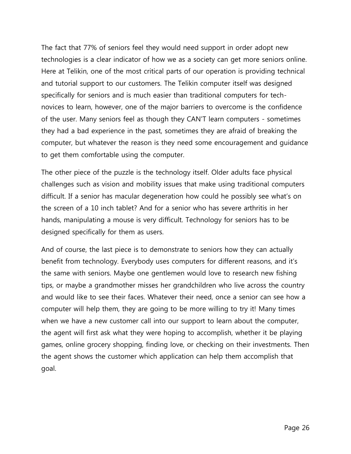The fact that 77% of seniors feel they would need support in order adopt new technologies is a clear indicator of how we as a society can get more seniors online. Here at Telikin, one of the most critical parts of our operation is providing technical and tutorial support to our customers. The Telikin computer itself was designed specifically for seniors and is much easier than traditional computers for technovices to learn, however, one of the major barriers to overcome is the confidence of the user. Many seniors feel as though they CAN'T learn computers - sometimes they had a bad experience in the past, sometimes they are afraid of breaking the computer, but whatever the reason is they need some encouragement and guidance to get them comfortable using the computer.

The other piece of the puzzle is the technology itself. Older adults face physical challenges such as vision and mobility issues that make using traditional computers difficult. If a senior has macular degeneration how could he possibly see what's on the screen of a 10 inch tablet? And for a senior who has severe arthritis in her hands, manipulating a mouse is very difficult. Technology for seniors has to be designed specifically for them as users.

And of course, the last piece is to demonstrate to seniors how they can actually benefit from technology. Everybody uses computers for different reasons, and it"s the same with seniors. Maybe one gentlemen would love to research new fishing tips, or maybe a grandmother misses her grandchildren who live across the country and would like to see their faces. Whatever their need, once a senior can see how a computer will help them, they are going to be more willing to try it! Many times when we have a new customer call into our support to learn about the computer, the agent will first ask what they were hoping to accomplish, whether it be playing games, online grocery shopping, finding love, or checking on their investments. Then the agent shows the customer which application can help them accomplish that goal.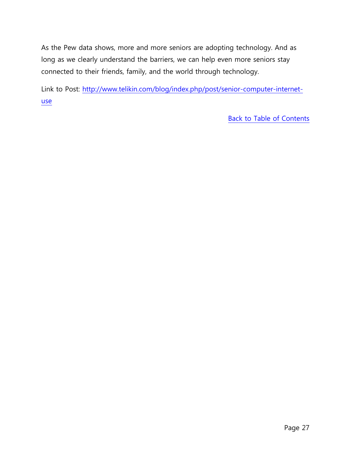As the Pew data shows, more and more seniors are adopting technology. And as long as we clearly understand the barriers, we can help even more seniors stay connected to their friends, family, and the world through technology.

Link to Post: [http://www.telikin.com/blog/index.php/post/senior-computer-internet](http://www.telikin.com/blog/index.php/post/senior-computer-internet-use)[use](http://www.telikin.com/blog/index.php/post/senior-computer-internet-use)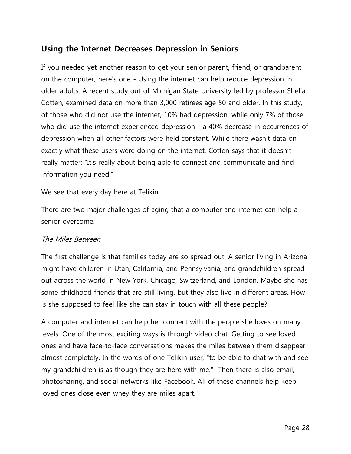# <span id="page-27-0"></span>**Using the Internet Decreases Depression in Seniors**

If you needed yet another reason to get your senior parent, friend, or grandparent on the computer, here's one - Using the internet can help reduce depression in older adults. A recent study out of Michigan State University led by professor Shelia Cotten, examined data on more than 3,000 retirees age 50 and older. In this study, of those who did not use the internet, 10% had depression, while only 7% of those who did use the internet experienced depression - a 40% decrease in occurrences of depression when all other factors were held constant. While there wasn"t data on exactly what these users were doing on the internet, Cotten says that it doesn"t really matter: "It's really about being able to connect and communicate and find information you need."

We see that every day here at Telikin.

There are two major challenges of aging that a computer and internet can help a senior overcome.

#### The Miles Between

The first challenge is that families today are so spread out. A senior living in Arizona might have children in Utah, California, and Pennsylvania, and grandchildren spread out across the world in New York, Chicago, Switzerland, and London. Maybe she has some childhood friends that are still living, but they also live in different areas. How is she supposed to feel like she can stay in touch with all these people?

A computer and internet can help her connect with the people she loves on many levels. One of the most exciting ways is through video chat. Getting to see loved ones and have face-to-face conversations makes the miles between them disappear almost completely. In the words of one Telikin user, "to be able to chat with and see my grandchildren is as though they are here with me." Then there is also email, photosharing, and social networks like Facebook. All of these channels help keep loved ones close even whey they are miles apart.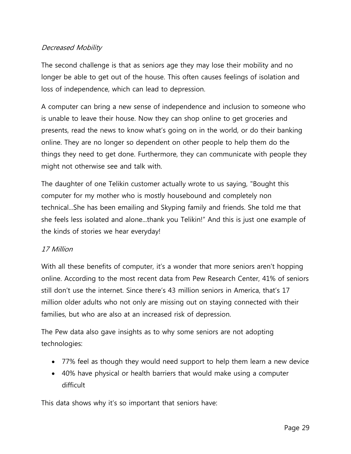# Decreased Mobility

The second challenge is that as seniors age they may lose their mobility and no longer be able to get out of the house. This often causes feelings of isolation and loss of independence, which can lead to depression.

A computer can bring a new sense of independence and inclusion to someone who is unable to leave their house. Now they can shop online to get groceries and presents, read the news to know what"s going on in the world, or do their banking online. They are no longer so dependent on other people to help them do the things they need to get done. Furthermore, they can communicate with people they might not otherwise see and talk with.

The daughter of one Telikin customer actually wrote to us saying, "Bought this computer for my mother who is mostly housebound and completely non technical...She has been emailing and Skyping family and friends. She told me that she feels less isolated and alone...thank you Telikin!" And this is just one example of the kinds of stories we hear everyday!

# 17 Million

With all these benefits of computer, it's a wonder that more seniors aren't hopping online. According to the most recent data from Pew Research Center, 41% of seniors still don't use the internet. Since there's 43 million seniors in America, that's 17 million older adults who not only are missing out on staying connected with their families, but who are also at an increased risk of depression.

The Pew data also gave insights as to why some seniors are not adopting technologies:

- 77% feel as though they would need support to help them learn a new device
- 40% have physical or health barriers that would make using a computer difficult

This data shows why it's so important that seniors have: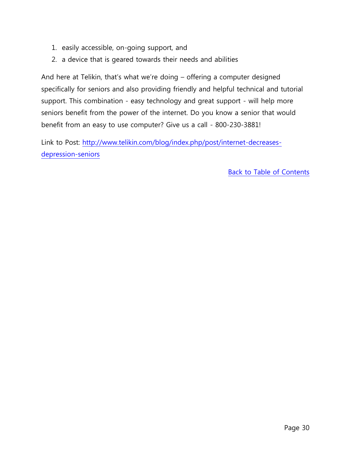- 1. easily accessible, on-going support, and
- 2. a device that is geared towards their needs and abilities

And here at Telikin, that"s what we"re doing – offering a computer designed specifically for seniors and also providing friendly and helpful technical and tutorial support. This combination - easy technology and great support - will help more seniors benefit from the power of the internet. Do you know a senior that would benefit from an easy to use computer? Give us a call - 800-230-3881!

Link to Post: [http://www.telikin.com/blog/index.php/post/internet-decreases](http://www.telikin.com/blog/index.php/post/internet-decreases-depression-seniors)[depression-seniors](http://www.telikin.com/blog/index.php/post/internet-decreases-depression-seniors)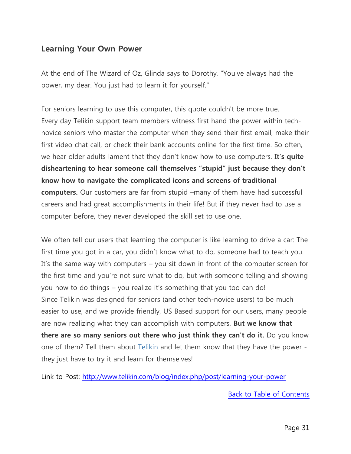# <span id="page-30-0"></span>**Learning Your Own Power**

At the end of The Wizard of Oz, Glinda says to Dorothy, "You've always had the power, my dear. You just had to learn it for yourself."

For seniors learning to use this computer, this quote couldn't be more true. Every day Telikin support team members witness first hand the power within technovice seniors who master the computer when they send their first email, make their first video chat call, or check their bank accounts online for the first time. So often, we hear older adults lament that they don't know how to use computers. It's quite **disheartening to hear someone call themselves "stupid" just because they don't know how to navigate the complicated icons and screens of traditional computers.** Our customers are far from stupid –many of them have had successful careers and had great accomplishments in their life! But if they never had to use a computer before, they never developed the skill set to use one.

We often tell our users that learning the computer is like learning to drive a car: The first time you got in a car, you didn"t know what to do, someone had to teach you. It's the same way with computers – you sit down in front of the computer screen for the first time and you"re not sure what to do, but with someone telling and showing you how to do things – you realize it's something that you too can do! Since Telikin was designed for seniors (and other tech-novice users) to be much easier to use, and we provide friendly, US Based support for our users, many people are now realizing what they can accomplish with computers. **But we know that there are so many seniors out there who just think they can't do it.** Do you know one of them? Tell them about [Telikin a](http://www.telikin.com/telikin_elite_2)nd let them know that they have the power they just have to try it and learn for themselves!

Link to Post:<http://www.telikin.com/blog/index.php/post/learning-your-power>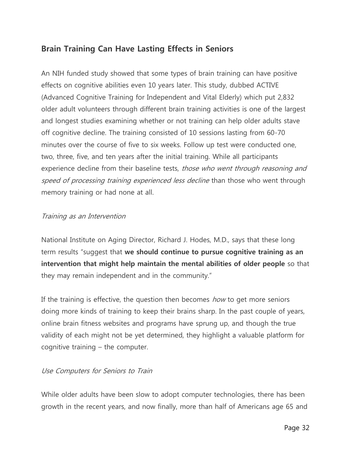# <span id="page-31-0"></span>**Brain Training Can Have Lasting Effects in Seniors**

An NIH funded study showed that some types of brain training can have positive effects on cognitive abilities even 10 years later. This study, dubbed ACTIVE (Advanced Cognitive Training for Independent and Vital Elderly) which put 2,832 older adult volunteers through different brain training activities is one of the largest and longest studies examining whether or not training can help older adults stave off cognitive decline. The training consisted of 10 sessions lasting from 60-70 minutes over the course of five to six weeks. Follow up test were conducted one, two, three, five, and ten years after the initial training. While all participants experience decline from their baseline tests, those who went through reasoning and speed of processing training experienced less decline than those who went through memory training or had none at all.

# Training as an Intervention

National Institute on Aging Director, Richard J. Hodes, M.D., says that these long term results "suggest that **we should continue to pursue cognitive training as an intervention that might help maintain the mental abilities of older people** so that they may remain independent and in the community."

If the training is effective, the question then becomes how to get more seniors doing more kinds of training to keep their brains sharp. In the past couple of years, online brain fitness websites and programs have sprung up, and though the true validity of each might not be yet determined, they highlight a valuable platform for cognitive training – the computer.

# Use Computers for Seniors to Train

While older adults have been slow to adopt computer technologies, there has been growth in the recent years, and now finally, more than half of Americans age 65 and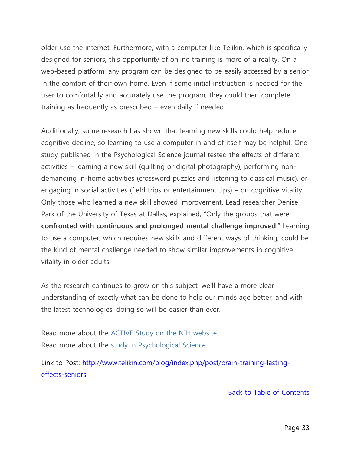older use the internet. Furthermore, with a computer like Telikin, which is specifically designed for seniors, this opportunity of online training is more of a reality. On a web-based platform, any program can be designed to be easily accessed by a senior in the comfort of their own home. Even if some initial instruction is needed for the user to comfortably and accurately use the program, they could then complete training as frequently as prescribed – even daily if needed!

Additionally, some research has shown that learning new skills could help reduce cognitive decline, so learning to use a computer in and of itself may be helpful. One study published in the Psychological Science journal tested the effects of different activities – learning a new skill (quilting or digital photography), performing nondemanding in-home activities (crossword puzzles and listening to classical music), or engaging in social activities (field trips or entertainment tips) – on cognitive vitality. Only those who learned a new skill showed improvement. Lead researcher Denise Park of the University of Texas at Dallas, explained, "Only the groups that were **confronted with continuous and prolonged mental challenge improved**." Learning to use a computer, which requires new skills and different ways of thinking, could be the kind of mental challenge needed to show similar improvements in cognitive vitality in older adults.

As the research continues to grow on this subject, we"ll have a more clear understanding of exactly what can be done to help our minds age better, and with the latest technologies, doing so will be easier than ever.

Read more about the [ACTIVE Study on the NIH website.](http://www.nia.nih.gov/newsroom/2014/01/cognitive-training-shows-staying-power) Read more about the [study in Psychological Science.](http://www.psychologicalscience.org/index.php/news/releases/learning-new-skills-keeps-an-aging-mind-sharp.html)

Link to Post: [http://www.telikin.com/blog/index.php/post/brain-training-lasting](http://www.telikin.com/blog/index.php/post/brain-training-lasting-effects-seniors)[effects-seniors](http://www.telikin.com/blog/index.php/post/brain-training-lasting-effects-seniors)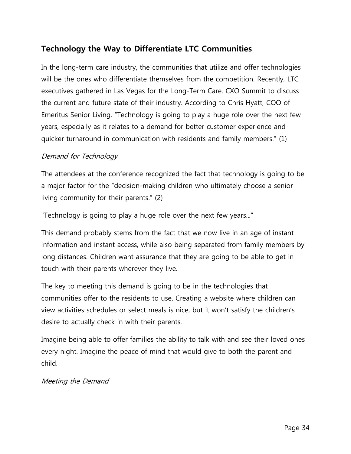# <span id="page-33-0"></span>**Technology the Way to Differentiate LTC Communities**

In the long-term care industry, the communities that utilize and offer technologies will be the ones who differentiate themselves from the competition. Recently, LTC executives gathered in Las Vegas for the Long-Term Care. CXO Summit to discuss the current and future state of their industry. According to Chris Hyatt, COO of Emeritus Senior Living, "Technology is going to play a huge role over the next few years, especially as it relates to a demand for better customer experience and quicker turnaround in communication with residents and family members." (1)

# Demand for Technology

The attendees at the conference recognized the fact that technology is going to be a major factor for the "decision-making children who ultimately choose a senior living community for their parents." (2)

"Technology is going to play a huge role over the next few years..."

This demand probably stems from the fact that we now live in an age of instant information and instant access, while also being separated from family members by long distances. Children want assurance that they are going to be able to get in touch with their parents wherever they live.

The key to meeting this demand is going to be in the technologies that communities offer to the residents to use. Creating a website where children can view activities schedules or select meals is nice, but it won"t satisfy the children"s desire to actually check in with their parents.

Imagine being able to offer families the ability to talk with and see their loved ones every night. Imagine the peace of mind that would give to both the parent and child.

#### Meeting the Demand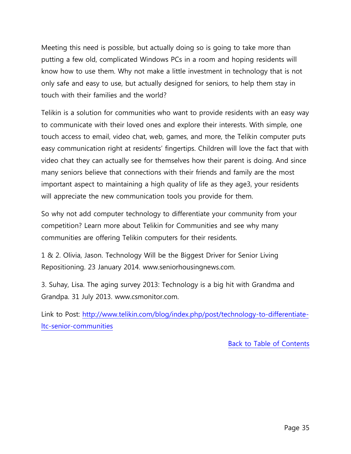Meeting this need is possible, but actually doing so is going to take more than putting a few old, complicated Windows PCs in a room and hoping residents will know how to use them. Why not make a little investment in technology that is not only safe and easy to use, but actually designed for seniors, to help them stay in touch with their families and the world?

Telikin is a solution for communities who want to provide residents with an easy way to communicate with their loved ones and explore their interests. With simple, one touch access to email, video chat, web, games, and more, the Telikin computer puts easy communication right at residents' fingertips. Children will love the fact that with video chat they can actually see for themselves how their parent is doing. And since many seniors believe that connections with their friends and family are the most important aspect to maintaining a high quality of life as they age3, your residents will appreciate the new communication tools you provide for them.

So why not add computer technology to differentiate your community from your competition? Learn more about Telikin for Communities and see why many communities are offering Telikin computers for their residents.

1 & 2. Olivia, Jason. Technology Will be the Biggest Driver for Senior Living Repositioning. 23 January 2014. www.seniorhousingnews.com.

3. Suhay, Lisa. The aging survey 2013: Technology is a big hit with Grandma and Grandpa. 31 July 2013. www.csmonitor.com.

Link to Post: [http://www.telikin.com/blog/index.php/post/technology-to-differentiate](http://www.telikin.com/blog/index.php/post/technology-to-differentiate-ltc-senior-communities)[ltc-senior-communities](http://www.telikin.com/blog/index.php/post/technology-to-differentiate-ltc-senior-communities)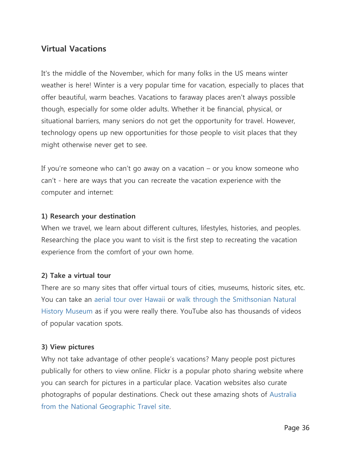# <span id="page-35-0"></span>**Virtual Vacations**

It's the middle of the November, which for many folks in the US means winter weather is here! Winter is a very popular time for vacation, especially to places that offer beautiful, warm beaches. Vacations to faraway places aren't always possible though, especially for some older adults. Whether it be financial, physical, or situational barriers, many seniors do not get the opportunity for travel. However, technology opens up new opportunities for those people to visit places that they might otherwise never get to see.

If you're someone who can't go away on a vacation  $-$  or you know someone who can"t - here are ways that you can recreate the vacation experience with the computer and internet:

#### **1) Research your destination**

When we travel, we learn about different cultures, lifestyles, histories, and peoples. Researching the place you want to visit is the first step to recreating the vacation experience from the comfort of your own home.

# **2) Take a virtual tour**

There are so many sites that offer virtual tours of cities, museums, historic sites, etc. You can take an [aerial tour over Hawaii](http://www.vthawaii.com/OAHU/Aerial/1-Kakaako-Beach-Park.html) or [walk through the Smithsonian Natural](http://www.mnh.si.edu/vtp/1-desktop/)  [History Museum](http://www.mnh.si.edu/vtp/1-desktop/) as if you were really there. YouTube also has thousands of videos of popular vacation spots.

# **3) View pictures**

Why not take advantage of other people's vacations? Many people post pictures publically for others to view online. Flickr is a popular photo sharing website where you can search for pictures in a particular place. Vacation websites also curate photographs of popular destinations. Check out these amazing shots of [Australia](http://travel.nationalgeographic.com/travel/countries/australia-photos/)  [from the National Geographic Travel site.](http://travel.nationalgeographic.com/travel/countries/australia-photos/)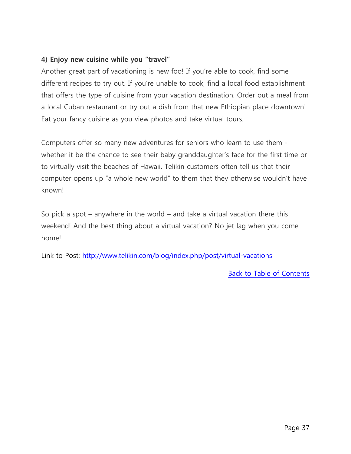# **4) Enjoy new cuisine while you "travel"**

Another great part of vacationing is new foo! If you"re able to cook, find some different recipes to try out. If you"re unable to cook, find a local food establishment that offers the type of cuisine from your vacation destination. Order out a meal from a local Cuban restaurant or try out a dish from that new Ethiopian place downtown! Eat your fancy cuisine as you view photos and take virtual tours.

Computers offer so many new adventures for seniors who learn to use them whether it be the chance to see their baby granddaughter's face for the first time or to virtually visit the beaches of Hawaii. Telikin customers often tell us that their computer opens up "a whole new world" to them that they otherwise wouldn"t have known!

So pick a spot – anywhere in the world – and take a virtual vacation there this weekend! And the best thing about a virtual vacation? No jet lag when you come home!

Link to Post:<http://www.telikin.com/blog/index.php/post/virtual-vacations>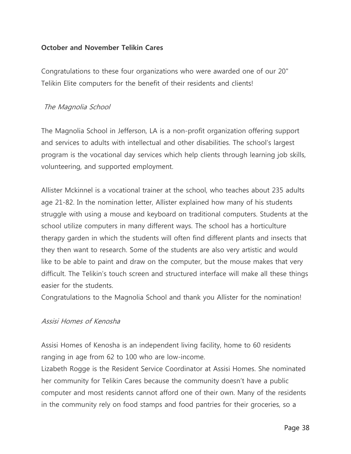# <span id="page-37-0"></span>**October and November Telikin Cares**

Congratulations to these four organizations who were awarded one of our 20" Telikin Elite computers for the benefit of their residents and clients!

#### The Magnolia School

The Magnolia School in Jefferson, LA is a non-profit organization offering support and services to adults with intellectual and other disabilities. The school"s largest program is the vocational day services which help clients through learning job skills, volunteering, and supported employment.

Allister Mckinnel is a vocational trainer at the school, who teaches about 235 adults age 21-82. In the nomination letter, Allister explained how many of his students struggle with using a mouse and keyboard on traditional computers. Students at the school utilize computers in many different ways. The school has a horticulture therapy garden in which the students will often find different plants and insects that they then want to research. Some of the students are also very artistic and would like to be able to paint and draw on the computer, but the mouse makes that very difficult. The Telikin"s touch screen and structured interface will make all these things easier for the students.

Congratulations to the Magnolia School and thank you Allister for the nomination!

# Assisi Homes of Kenosha

Assisi Homes of Kenosha is an independent living facility, home to 60 residents ranging in age from 62 to 100 who are low-income.

Lizabeth Rogge is the Resident Service Coordinator at Assisi Homes. She nominated her community for Telikin Cares because the community doesn't have a public computer and most residents cannot afford one of their own. Many of the residents in the community rely on food stamps and food pantries for their groceries, so a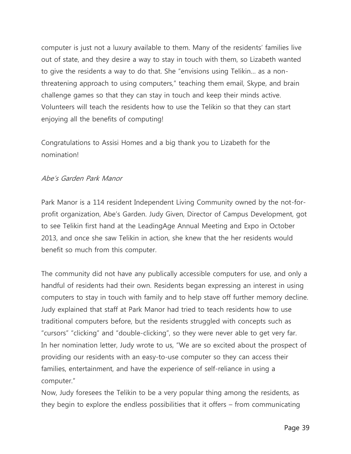computer is just not a luxury available to them. Many of the residents" families live out of state, and they desire a way to stay in touch with them, so Lizabeth wanted to give the residents a way to do that. She "envisions using Telikin… as a nonthreatening approach to using computers," teaching them email, Skype, and brain challenge games so that they can stay in touch and keep their minds active. Volunteers will teach the residents how to use the Telikin so that they can start enjoying all the benefits of computing!

Congratulations to Assisi Homes and a big thank you to Lizabeth for the nomination!

#### Abe"s Garden Park Manor

Park Manor is a 114 resident Independent Living Community owned by the not-forprofit organization, Abe"s Garden. Judy Given, Director of Campus Development, got to see Telikin first hand at the LeadingAge Annual Meeting and Expo in October 2013, and once she saw Telikin in action, she knew that the her residents would benefit so much from this computer.

The community did not have any publically accessible computers for use, and only a handful of residents had their own. Residents began expressing an interest in using computers to stay in touch with family and to help stave off further memory decline. Judy explained that staff at Park Manor had tried to teach residents how to use traditional computers before, but the residents struggled with concepts such as "cursors" "clicking" and "double-clicking", so they were never able to get very far. In her nomination letter, Judy wrote to us, "We are so excited about the prospect of providing our residents with an easy-to-use computer so they can access their families, entertainment, and have the experience of self-reliance in using a computer."

Now, Judy foresees the Telikin to be a very popular thing among the residents, as they begin to explore the endless possibilities that it offers – from communicating